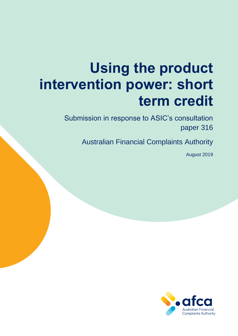# **Using the product intervention power: short term credit**

Submission in response to ASIC's consultation paper 316

Australian Financial Complaints Authority

August 2019

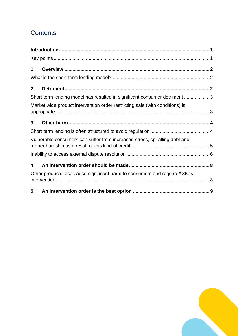# **Contents**

| 1            |                                                                              |  |
|--------------|------------------------------------------------------------------------------|--|
|              |                                                                              |  |
| $\mathbf{2}$ |                                                                              |  |
|              | Short term lending model has resulted in significant consumer detriment 3    |  |
|              | Market wide product intervention order restricting sale (with conditions) is |  |
| 3            |                                                                              |  |
|              |                                                                              |  |
|              | Vulnerable consumers can suffer from increased stress, spiralling debt and   |  |
|              |                                                                              |  |
| 4            |                                                                              |  |
|              | Other products also cause significant harm to consumers and require ASIC's   |  |
| 5            |                                                                              |  |

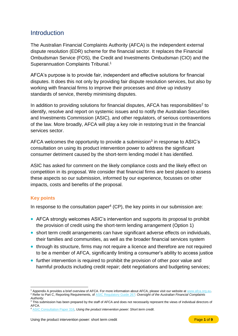## <span id="page-2-0"></span>**Introduction**

The Australian Financial Complaints Authority (AFCA) is the independent external dispute resolution (EDR) scheme for the financial sector. It replaces the Financial Ombudsman Service (FOS), the Credit and Investments Ombudsman (CIO) and the Superannuation Complaints Tribunal.<sup>1</sup>

AFCA's purpose is to provide fair, independent and effective solutions for financial disputes. It does this not only by providing fair dispute resolution services, but also by working with financial firms to improve their processes and drive up industry standards of service, thereby minimising disputes.

In addition to providing solutions for financial disputes, AFCA has responsibilities<sup>2</sup> to identify, resolve and report on systemic issues and to notify the Australian Securities and Investments Commission (ASIC), and other regulators, of serious contraventions of the law. More broadly, AFCA will play a key role in restoring trust in the financial services sector.

AFCA welcomes the opportunity to provide a submission<sup>3</sup> in response to ASIC's consultation on using its product intervention power to address the significant consumer detriment caused by the short-term lending model it has identified.

ASIC has asked for comment on the likely compliance costs and the likely effect on competition in its proposal. We consider that financial firms are best placed to assess these aspects so our submission, informed by our experience, focusses on other impacts, costs and benefits of the proposal.

## <span id="page-2-1"></span>**Key points**

In response to the consultation paper<sup>4</sup> (CP), the key points in our submission are:

- AFCA strongly welcomes ASIC's intervention and supports its proposal to prohibit the provision of credit using the short-term lending arrangement (Option 1)
- short term credit arrangements can have significant adverse effects on individuals, their families and communities, as well as the broader financial services system
- through its structure, firms may not require a licence and therefore are not required to be a member of AFCA, significantly limiting a consumer's ability to access justice
- further intervention is required to prohibit the provision of other poor value and harmful products including credit repair; debt negotiations and budgeting services;

 $\overline{a}$ <sup>1</sup> Appendix A provides a brief overview of AFCA. For more information about AFCA, please visit our website at [www.afca.org.au.](http://www.afca.org.au/) <sup>2</sup> Refer to Part C, Reporting Requirements, o[f ASIC Regulatory Guide 267:](https://download.asic.gov.au/media/4773579/rg267-published-20-june-2018.pdf) *Oversight of the Australian Financial Complaints Authority*.

<sup>3</sup> This submission has been prepared by the staff of AFCA and does not necessarily represent the views of individual directors of AFCA.

<sup>4</sup> [ASIC Consultation Paper 316,](https://asic.gov.au/about-asic/news-centre/find-a-media-release/2019-releases/19-177mr-asic-consults-on-proposal-to-intervene-to-stop-consumer-harm-in-short-term-credit/) *Using the product intervention power: Short term credit*.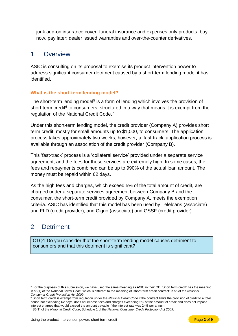junk add-on insurance cover; funeral insurance and expenses only products; buy now, pay later; dealer issued warranties and over-the-counter derivatives.

## <span id="page-3-0"></span>1 Overview

ASIC is consulting on its proposal to exercise its product intervention power to address significant consumer detriment caused by a short-term lending model it has identified.

### <span id="page-3-1"></span>**What is the short-term lending model?**

The short-term lending model<sup>5</sup> is a form of lending which involves the provision of short term credit<sup>6</sup> to consumers, structured in a way that means it is exempt from the regulation of the National Credit Code.<sup>7</sup>

Under this short-term lending model, the credit provider (Company A) provides short term credit, mostly for small amounts up to \$1,000, to consumers. The application process takes approximately two weeks, however, a 'fast-track' application process is available through an association of the credit provider (Company B).

This 'fast-track' process is a 'collateral service' provided under a separate service agreement, and the fees for these services are extremely high. In some cases, the fees and repayments combined can be up to 990% of the actual loan amount. The money must be repaid within 62 days.

As the high fees and charges, which exceed 5% of the total amount of credit, are charged under a separate services agreement between Company B and the consumer, the short-term credit provided by Company A, meets the exemption criteria. ASIC has identified that this model has been used by Teleloans (associate) and FLD (credit provider), and Cigno (associate) and GSSF (credit provider).

# <span id="page-3-2"></span>2 Detriment

C1Q1 Do you consider that the short-term lending model causes detriment to consumers and that this detriment is significant?

<sup>6</sup> Short term credit is exempt from regulation under the *National Credit Code* if the contract limits the provision of credit to a total period not exceeding 62 days, does not impose fees and charges exceeding 5% of the amount of credit and does not impose interest charges that would exceed the amount payable if the interest rate was 24% per annum.

 $\overline{a}$ <sup>5</sup> For the purposes of this submission, we have used the same meaning as ASIC in their CP. 'Short term credit' has the meaning in s6(1) of the *National Credit Code*, which is different to the meaning of 'short-term credit contract' in s5 of the *National Consumer Credit Protection Act 2009*.

<sup>7</sup> S6(1) of the *National Credit Code*, Schedule 1 of the *National Consumer Credit Protection Act 2009*.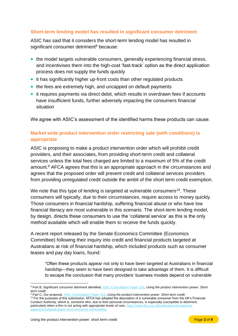## <span id="page-4-0"></span>**Short-term lending model has resulted in significant consumer detriment**

ASIC has said that it considers the short-term lending model has resulted in significant consumer detriment<sup>8</sup> because:

- the model targets vulnerable consumers, generally experiencing financial stress, and incentivises them into the high-cost 'fast-track' option as the direct application process does not supply the funds quickly
- it has significantly higher up-front costs than other regulated products
- the fees are extremely high, and uncapped on default payments
- it requires payments via direct debit, which results in overdrawn fees if accounts have insufficient funds, further adversely impacting the consumers financial situation

We agree with ASIC's assessment of the identified harms these products can cause.

## <span id="page-4-1"></span>**Market wide product intervention order restricting sale (with conditions) is appropriate**

ASIC is proposing to make a product intervention order which will prohibit credit providers, and their associates, from providing short-term credit and collateral services unless the total fees charged are limited to a maximum of 5% of the credit amount.<sup>9</sup> AFCA agrees that this is an appropriate approach in the circumstances and agrees that the proposed order will prevent credit and collateral services providers from providing unregulated credit outside the ambit of the short term credit exemption.

We note that this type of lending is targeted at vulnerable consumers<sup>10</sup>. These consumers will typically, due to their circumstances, require access to money quickly. Those consumers in financial hardship, suffering financial abuse or who have low financial literacy are most vulnerable in this scenario. The short-term lending model, by design, directs these consumers to use the 'collateral service' as this is the only method available which will enable them to receive the funds quickly.

A recent report released by the Senate Economics Committee (Economics Committee) following their inquiry into credit and financial products targeted at Australians at risk of financial hardship, which included products such as consumer leases and pay day loans, found:

"Often these products appear not only to have been targeted at Australians in financial hardship—they seem to have been designed to take advantage of them. It is difficult to escape the conclusion that many providers' business models depend on vulnerable

<sup>10</sup> For the purposes of this submission, AFCA has adopted the description of a vulnerable consumer from the UK's Financial Conduct Authority, which is, someone who, due to their personal circumstances, is especially susceptible to detriment, particularly when a firm is not acting with appropriate levels of care[, https://www.fca.org.uk/publications/occasional](https://www.fca.org.uk/publications/occasional-papers/occasional-paper-no-8-consumer-vulnerability)[papers/occasional-paper-no-8-consumer-vulnerability.](https://www.fca.org.uk/publications/occasional-papers/occasional-paper-no-8-consumer-vulnerability) 

 $\overline{a}$ <sup>8</sup> Part B, Significant consumer detriment identified[, ASIC Consultation Paper 316,](https://asic.gov.au/about-asic/news-centre/find-a-media-release/2019-releases/19-177mr-asic-consults-on-proposal-to-intervene-to-stop-consumer-harm-in-short-term-credit/) *Using the product intervention power: Short term credit*.

<sup>9</sup> Part C, Our proposal[, ASIC Consultation Paper 316,](https://asic.gov.au/about-asic/news-centre/find-a-media-release/2019-releases/19-177mr-asic-consults-on-proposal-to-intervene-to-stop-consumer-harm-in-short-term-credit/) *Using the product intervention power: Short term credit*.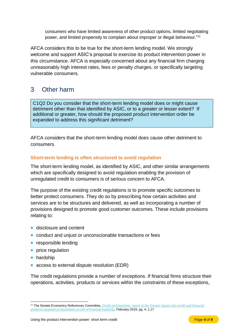consumers who have limited awareness of other product options, limited negotiating power, and limited propensity to complain about improper or illegal behaviour." 11

AFCA considers this to be true for the short-term lending model. We strongly welcome and support ASIC's proposal to exercise its product intervention power in this circumstance. AFCA is especially concerned about any financial firm charging unreasonably high interest rates, fees or penalty charges, or specifically targeting vulnerable consumers.

# <span id="page-5-0"></span>3 Other harm

C1Q2 Do you consider that the short-term lending model does or might cause detriment other than that identified by ASIC, or to a greater or lesser extent? If additional or greater, how should the proposed product intervention order be expanded to address this significant detriment?

AFCA considers that the short-term lending model does cause other detriment to consumers.

## <span id="page-5-1"></span>**Short-term lending is often structured to avoid regulation**

The short-term lending model, as identified by ASIC, and other similar arrangements which are specifically designed to avoid regulation enabling the provision of unregulated credit to consumers is of serious concern to AFCA.

The purpose of the existing credit regulations is to promote specific outcomes to better protect consumers. They do so by prescribing how certain activities and services are to be structures and delivered, as well as incorporating a number of provisions designed to promote good customer outcomes. These include provisions relating to:

- disclosure and content
- conduct and unjust or unconscionable transactions or fees
- responsible lending
- price regulation
- hardship

 $\overline{a}$ 

• access to external dispute resolution (EDR)

The credit regulations provide a number of exceptions. If financial firms structure their operations, activities, products or services within the constraints of these exceptions,

<sup>11</sup> The Senate Economics References Committee, *[Credit and hardship: report of the Senate inquiry into credit and financial](https://www.aph.gov.au/Parliamentary_Business/Committees/Senate/Economics/Creditfinancialservices/Report)  [products targeted at Australians at risk of financial hardship,](https://www.aph.gov.au/Parliamentary_Business/Committees/Senate/Economics/Creditfinancialservices/Report)* February 2019, pg. 4, 1.17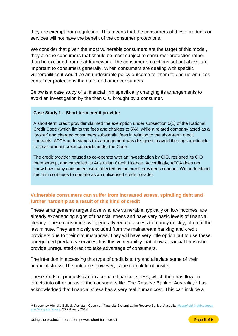they are exempt from regulation. This means that the consumers of these products or services will not have the benefit of the consumer protections.

We consider that given the most vulnerable consumers are the target of this model, they are the consumers that should be most subject to consumer protection rather than be excluded from that framework. The consumer protections set out above are important to consumers generally. When consumers are dealing with specific vulnerabilities it would be an undesirable policy outcome for them to end up with less consumer protections than afforded other consumers.

Below is a case study of a financial firm specifically changing its arrangements to avoid an investigation by the then CIO brought by a consumer.

#### **Case Study 1 – Short term credit provider**

A short-term credit provider claimed the exemption under subsection 6(1) of the National Credit Code (which limits the fees and charges to 5%), while a related company acted as a 'broker' and charged consumers substantial fees in relation to the short-term credit contracts. AFCA understands this arrangement was designed to avoid the caps applicable to small amount credit contracts under the Code.

The credit provider refused to co-operate with an investigation by CIO, resigned its CIO membership, and cancelled its Australian Credit Licence. Accordingly, AFCA does not know how many consumers were affected by the credit provider's conduct. We understand this firm continues to operate as an unlicensed credit provider.

## <span id="page-6-0"></span>**Vulnerable consumers can suffer from increased stress, spiralling debt and further hardship as a result of this kind of credit**

These arrangements target those who are vulnerable, typically on low incomes, are already experiencing signs of financial stress and have very basic levels of financial literacy. These consumers will generally require access to money quickly, often at the last minute. They are mostly excluded from the mainstream banking and credit providers due to their circumstances. They will have very little option but to use these unregulated predatory services. It is this vulnerability that allows financial firms who provide unregulated credit to take advantage of consumers.

The intention in accessing this type of credit is to try and alleviate some of their financial stress. The outcome, however, is the complete opposite.

These kinds of products can exacerbate financial stress, which then has flow on effects into other areas of the consumers life. The Reserve Bank of Australia,<sup>12</sup> has acknowledged that financial stress has a very real human cost. This can include a

 $\overline{a}$ <sup>12</sup> Speech by Michelle Bullock, Assistant Governor (Financial System) at the Reserve Bank of Australia, *[Household Indebtedness](https://www.rba.gov.au/speeches/2018/sp-ag-2018-02-20.html)  [and Mortgage Stress,](https://www.rba.gov.au/speeches/2018/sp-ag-2018-02-20.html)* 20 February 2018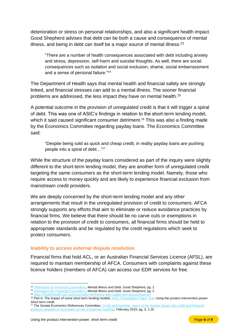deterioration or stress on personal relationships, and also a significant health impact. Good Shepherd advises that debt can be both a cause and consequence of mental illness, and being in debt can itself be a major source of mental illness:<sup>13</sup>

"There are a number of health consequences associated with debt including anxiety and stress, depression, self-harm and suicidal thoughts. As well, there are social consequences such as isolation and social exclusion, shame, social embarrassment and a sense of personal failure."<sup>14</sup>

The Department of Health says that mental health and financial safety are strongly linked, and financial stresses can add to a mental illness. The sooner financial problems are addressed, the less impact they have on mental health.<sup>15</sup>

A potential outcome in the provision of unregulated credit is that it will trigger a spiral of debt. This was one of ASIC's findings in relation to the short-term lending model, which it said caused significant consumer detriment.<sup>16</sup> This was also a finding made by the Economics Committee regarding payday loans. The Economics Committee said:

"Despite being sold as quick and cheap credit, in reality payday loans are pushing people into a spiral of debt…"<sup>17</sup>

While the structure of the payday loans considered as part of the inquiry were slightly different to the short-term lending model, they are another form of unregulated credit targeting the same consumers as the short-term lending model. Namely, those who require access to money quickly and are likely to experience financial exclusion from mainstream credit providers.

We are deeply concerned by the short-term lending model and any other arrangements that result in the unregulated provision of credit to consumers. AFCA strongly supports any efforts that aim to eliminate or reduce avoidance practices by financial firms. We believe that there should be no carve outs or exemptions in relation to the provision of credit to consumers, all financial firms should be held to appropriate standards and be regulated by the credit regulations which seek to protect consumers.

#### <span id="page-7-0"></span>**Inability to access external dispute resolution**

Financial firms that hold ACL, or an Australian Financial Services Licence (AFSL), are required to maintain membership of AFCA. Consumers with complaints against these licence holders (members of AFCA) can access our EDR services for free.

<sup>16</sup> Part A, The impact of some short term lending models, [ASIC Consultation Paper 316,](https://asic.gov.au/about-asic/news-centre/find-a-media-release/2019-releases/19-177mr-asic-consults-on-proposal-to-intervene-to-stop-consumer-harm-in-short-term-credit/) *Using the product intervention power: Short term credit*.

 $\overline{a}$ <sup>13</sup> [Information for Financial Counsellors,](https://www.goodshep.org.au/media/1288/mental_illness_debt_information_for_financial_counsellors_sep_2010.pdf) *Mental Illness and Debt,* Good Shepherd, pg. 2

<sup>14</sup> [Information for Financial Counsellors,](https://www.goodshep.org.au/media/1288/mental_illness_debt_information_for_financial_counsellors_sep_2010.pdf) *Mental Illness and Debt,* Good Shepherd, pg. 2

<sup>15</sup> https://headtohealth.gov.au/meaningful-life/feeling-safe-stable-and-secure/financ

<sup>&</sup>lt;sup>17</sup> The Senate Economics References Committee, *Credit and hardship: report of the Senate inquiry into credit and financial [products targeted at Australians at risk of financial hardship,](https://www.aph.gov.au/Parliamentary_Business/Committees/Senate/Economics/Creditfinancialservices/Report)* February 2019, pg. 3, 1.16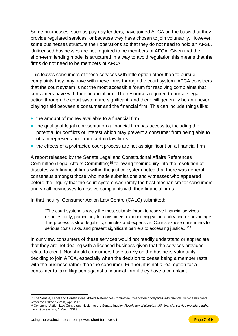Some businesses, such as pay day lenders, have joined AFCA on the basis that they provide regulated services, or because they have chosen to join voluntarily. However, some businesses structure their operations so that they do not need to hold an AFSL. Unlicensed businesses are not required to be members of AFCA. Given that the short-term lending model is structured in a way to avoid regulation this means that the firms do not need to be members of AFCA.

This leaves consumers of these services with little option other than to pursue complaints they may have with these firms through the court system. AFCA considers that the court system is not the most accessible forum for resolving complaints that consumers have with their financial firm. The resources required to pursue legal action through the court system are significant, and there will generally be an uneven playing field between a consumer and the financial firm. This can include things like:

- the amount of money available to a financial firm
- the quality of legal representation a financial firm has access to, including the potential for conflicts of interest which may prevent a consumer from being able to obtain representation from certain law firms
- the effects of a protracted court process are not as significant on a financial firm

A report released by the Senate Legal and Constitutional Affairs References Committee (Legal Affairs Committee)<sup>18</sup> following their inquiry into the resolution of disputes with financial firms within the justice system noted that there was general consensus amongst those who made submissions and witnesses who appeared before the inquiry that the court system was rarely the best mechanism for consumers and small businesses to resolve complaints with their financial firms.

In that inquiry, Consumer Action Law Centre (CALC) submitted:

"The court system is rarely the most suitable forum to resolve financial services disputes fairly, particularly for consumers experiencing vulnerability and disadvantage. The process is slow, legalistic, complex and expensive. Courts expose consumers to serious costs risks, and present significant barriers to accessing justice..."<sup>19</sup>

In our view, consumers of these services would not readily understand or appreciate that they are not dealing with a licensed business given that the services provided relate to credit. Nor should consumers have to rely on the business voluntarily deciding to join AFCA, especially when the decision to cease being a member rests with the business rather than the consumer. Further, it is not a real option for a consumer to take litigation against a financial firm if they have a complaint.

 $\overline{a}$ <sup>18</sup> The Senate, Legal and Constitutional Affairs References Committee, *Resolution of disputes with financial service providers within the justice system*, April 2019

<sup>19</sup> Consumer Action Law Centre submission to the Senate Inquiry: *Resolution of disputes with financial service providers within the justice system*, 1 March 2019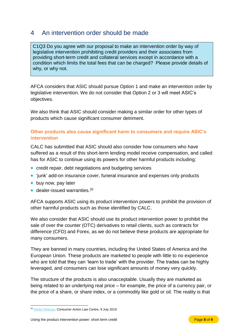# <span id="page-9-0"></span>4 An intervention order should be made

C1Q3 Do you agree with our proposal to make an intervention order by way of legislative intervention prohibiting credit providers and their associates from providing short-term credit and collateral services except in accordance with a condition which limits the total fees that can be charged? Please provide details of why, or why not.

AFCA considers that ASIC should pursue Option 1 and make an intervention order by legislative intervention. We do not consider that Option 2 or 3 will meet ASIC's objectives.

We also think that ASIC should consider making a similar order for other types of products which cause significant consumer detriment.

## <span id="page-9-1"></span>**Other products also cause significant harm to consumers and require ASIC's intervention**

CALC has submitted that ASIC should also consider how consumers who have suffered as a result of this short-term lending model receive compensation, and called has for ASIC to continue using its powers for other harmful products including:

- credit repair, debt negotiations and budgeting services
- 'junk' add-on insurance cover, funeral insurance and expenses only products
- buy now, pay later
- dealer-issued warranties.<sup>20</sup>

AFCA supports ASIC using its product intervention powers to prohibit the provision of other harmful products such as those identified by CALC.

We also consider that ASIC should use its product intervention power to prohibit the sale of over the counter (OTC) derivatives to retail clients, such as contracts for difference (CFD) and Forex, as we do not believe these products are appropriate for many consumers.

They are banned in many countries, including the United States of America and the European Union. These products are marketed to people with little to no experience who are told that they can 'learn to trade' with the provider. The trades can be highly leveraged, and consumers can lose significant amounts of money very quickly.

The structure of the products is also unacceptable. Usually they are marketed as being related to an underlying real price – for example, the price of a currency pair, or the price of a share, or share index, or a commodity like gold or oil. The reality is that

 $\overline{a}$ <sup>20</sup> [Media Release,](https://consumeraction.org.au/20190709-asic-pips-payday-loans/) Consumer Action Law Centre, 9 July 2019